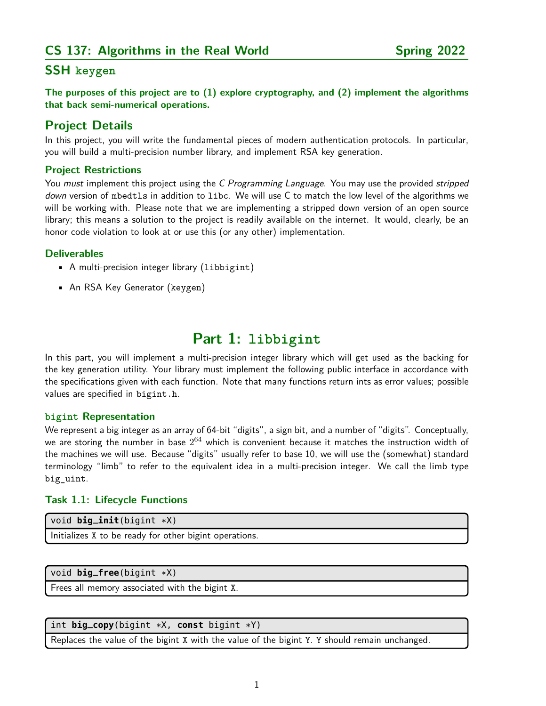# **CS 137: Algorithms in the Real World Spring 2022**

# **SSH keygen**

**The purposes of this project are to (1) explore cryptography, and (2) implement the algorithms that back semi-numerical operations.**

# **Project Details**

In this project, you will write the fundamental pieces of modern authentication protocols. In particular, you will build a multi-precision number library, and implement RSA key generation.

# **Project Restrictions**

You must implement this project using the C Programming Language. You may use the provided stripped down version of mbedtls in addition to libc. We will use C to match the low level of the algorithms we will be working with. Please note that we are implementing a stripped down version of an open source library; this means a solution to the project is readily available on the internet. It would, clearly, be an honor code violation to look at or use this (or any other) implementation.

#### **Deliverables**

- A multi-precision integer library (libbigint)
- An RSA Key Generator (keygen)

# **Part 1: libbigint**

In this part, you will implement a multi-precision integer library which will get used as the backing for the key generation utility. Your library must implement the following public interface in accordance with the specifications given with each function. Note that many functions return ints as error values; possible values are specified in bigint.h.

#### **bigint Representation**

We represent a big integer as an array of 64-bit "digits", a sign bit, and a number of "digits". Conceptually, we are storing the number in base  $2^{64}$  which is convenient because it matches the instruction width of the machines we will use. Because "digits" usually refer to base 10, we will use the (somewhat) standard terminology "limb" to refer to the equivalent idea in a multi-precision integer. We call the limb type big\_uint.

## **Task 1.1: Lifecycle Functions**

| void $big\_init$ (bigint $*X$ ) |  |
|---------------------------------|--|
|---------------------------------|--|

Initializes X to be ready for other bigint operations.

| $\sqrt{\frac{1}{100}}$ void <b>big_free</b> (bigint *X) |
|---------------------------------------------------------|
| Frees all memory associated with the bigint X.          |

#### int **big\_copy**(bigint \*X, **const** bigint \*Y)

Replaces the value of the bigint X with the value of the bigint Y. Y should remain unchanged.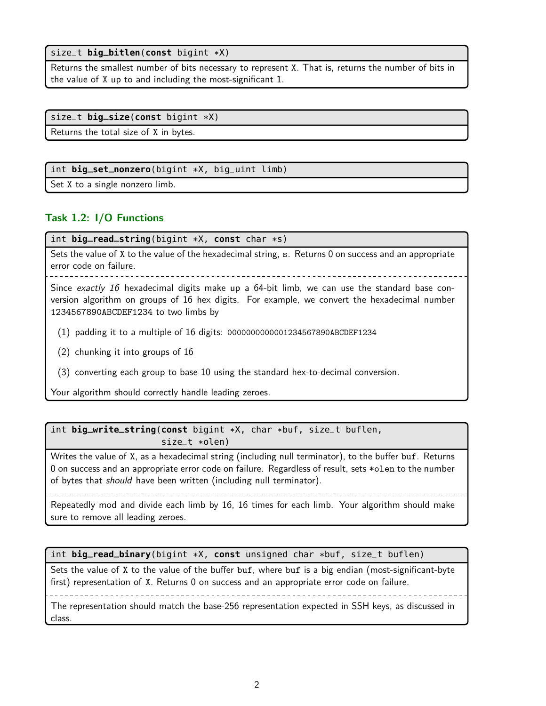#### size\_t **big\_bitlen**(**const** bigint \*X)

Returns the smallest number of bits necessary to represent X. That is, returns the number of bits in the value of X up to and including the most-significant 1.

## size\_t **big\_size**(**const** bigint \*X)

Returns the total size of X in bytes.

#### int **big\_set\_nonzero**(bigint \*X, big\_uint limb)

Set X to a single nonzero limb.

# **Task 1.2: I/O Functions**

int **big\_read\_string**(bigint \*X, **const** char \*s)

Sets the value of X to the value of the hexadecimal string, s. Returns 0 on success and an appropriate error code on failure.

Since exactly 16 hexadecimal digits make up a 64-bit limb, we can use the standard base conversion algorithm on groups of 16 hex digits. For example, we convert the hexadecimal number 1234567890ABCDEF1234 to two limbs by

- (1) padding it to a multiple of 16 digits: 0000000000001234567890ABCDEF1234
- (2) chunking it into groups of 16
- (3) converting each group to base 10 using the standard hex-to-decimal conversion.

Your algorithm should correctly handle leading zeroes.

# int **big\_write\_string**(**const** bigint \*X, char \*buf, size\_t buflen, size\_t \*olen)

Writes the value of X, as a hexadecimal string (including null terminator), to the buffer buf. Returns 0 on success and an appropriate error code on failure. Regardless of result, sets \*olen to the number of bytes that should have been written (including null terminator).

Repeatedly mod and divide each limb by 16, 16 times for each limb. Your algorithm should make sure to remove all leading zeroes.

int **big\_read\_binary**(bigint \*X, **const** unsigned char \*buf, size\_t buflen)

Sets the value of X to the value of the buffer buf, where buf is a big endian (most-significant-byte first) representation of X. Returns 0 on success and an appropriate error code on failure.

The representation should match the base-256 representation expected in SSH keys, as discussed in class.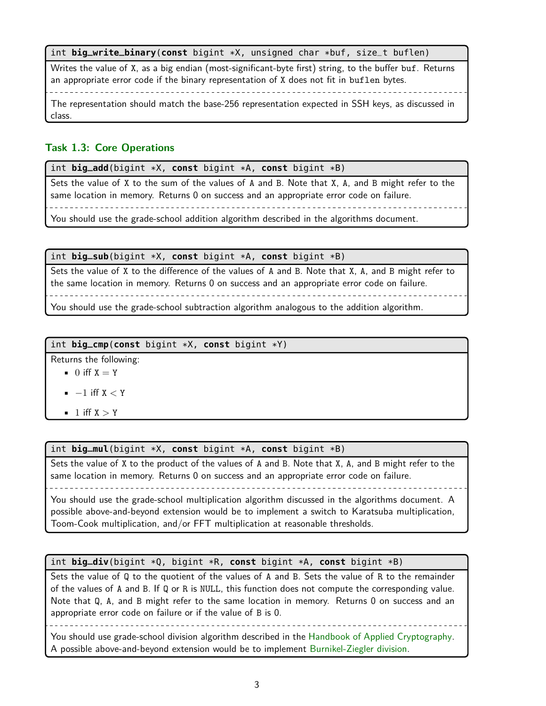int **big\_write\_binary**(**const** bigint \*X, unsigned char \*buf, size\_t buflen)

Writes the value of X, as a big endian (most-significant-byte first) string, to the buffer buf. Returns an appropriate error code if the binary representation of X does not fit in buflen bytes.

The representation should match the base-256 representation expected in SSH keys, as discussed in class.

# **Task 1.3: Core Operations**

int **big\_add**(bigint \*X, **const** bigint \*A, **const** bigint \*B)

Sets the value of X to the sum of the values of A and B. Note that X, A, and B might refer to the same location in memory. Returns 0 on success and an appropriate error code on failure.

You should use the grade-school addition algorithm described in the algorithms document.

#### int **big\_sub**(bigint \*X, **const** bigint \*A, **const** bigint \*B)

Sets the value of X to the difference of the values of A and B. Note that X, A, and B might refer to the same location in memory. Returns 0 on success and an appropriate error code on failure.

You should use the grade-school subtraction algorithm analogous to the addition algorithm.

#### int **big\_cmp**(**const** bigint \*X, **const** bigint \*Y)

Returns the following:

- $\bullet$  0 iff  $X = Y$
- $-1$  iff  $X < Y$
- $\blacksquare$  1 iff  $X > Y$

#### int **big\_mul**(bigint \*X, **const** bigint \*A, **const** bigint \*B)

Sets the value of X to the product of the values of A and B. Note that X, A, and B might refer to the same location in memory. Returns 0 on success and an appropriate error code on failure.

You should use the grade-school multiplication algorithm discussed in the algorithms document. A possible above-and-beyond extension would be to implement a switch to Karatsuba multiplication, Toom-Cook multiplication, and/or FFT multiplication at reasonable thresholds.

## int **big\_div**(bigint \*Q, bigint \*R, **const** bigint \*A, **const** bigint \*B)

Sets the value of Q to the quotient of the values of A and B. Sets the value of R to the remainder of the values of A and B. If Q or R is NULL, this function does not compute the corresponding value. Note that Q, A, and B might refer to the same location in memory. Returns 0 on success and an appropriate error code on failure or if the value of B is 0.

You should use grade-school division algorithm described in the [Handbook of Applied Cryptography.](http://cacr.uwaterloo.ca/hac/about/chap14.pdf) A possible above-and-beyond extension would be to implement [Burnikel-Ziegler division.](http://citeseerx.ist.psu.edu/viewdoc/download?doi=10.1.1.47.565&rep=rep1&type=pdf)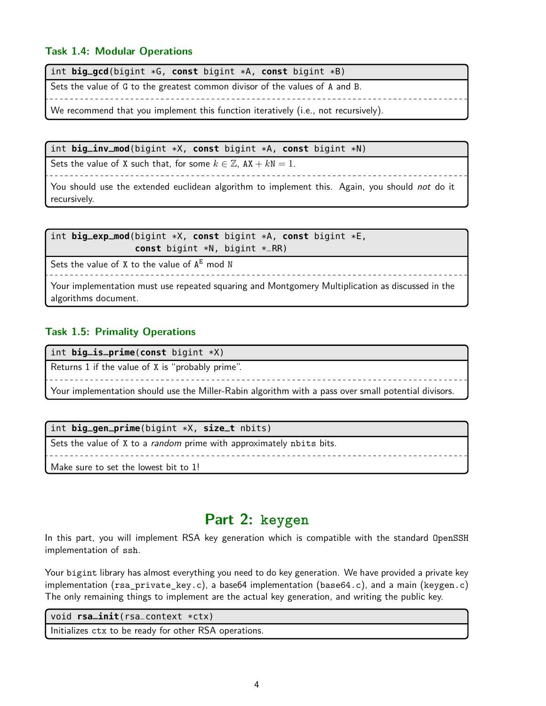## **Task 1.4: Modular Operations**

int **big\_gcd**(bigint \*G, **const** bigint \*A, **const** bigint \*B)

Sets the value of G to the greatest common divisor of the values of A and B.

We recommend that you implement this function iteratively (i.e., not recursively).

int **big\_inv\_mod**(bigint \*X, **const** bigint \*A, **const** bigint \*N)

Sets the value of X such that, for some  $k \in \mathbb{Z}$ ,  $AX + kN = 1$ .

You should use the extended euclidean algorithm to implement this. Again, you should not do it recursively.

int **big\_exp\_mod**(bigint \*X, **const** bigint \*A, **const** bigint \*E, **const** bigint \*N, bigint \* \_RR)

Sets the value of X to the value of  $A^E$  mod N

Your implementation must use repeated squaring and Montgomery Multiplication as discussed in the algorithms document.

## **Task 1.5: Primality Operations**

int **big\_is\_prime**(**const** bigint \*X)

Returns 1 if the value of X is "probably prime".

\_\_\_\_\_\_\_\_\_\_\_\_\_\_\_\_\_\_ Your implementation should use the Miller-Rabin algorithm with a pass over small potential divisors.

int **big\_gen\_prime**(bigint \*X, **size\_t** nbits)

Sets the value of X to a random prime with approximately nbits bits.

. . . . . . . . . . . . . . . . . . .

Make sure to set the lowest bit to 1!

# **Part 2: keygen**

In this part, you will implement RSA key generation which is compatible with the standard OpenSSH implementation of ssh.

Your bigint library has almost everything you need to do key generation. We have provided a private key implementation (rsa\_private\_key.c), a base64 implementation (base64.c), and a main (keygen.c) The only remaining things to implement are the actual key generation, and writing the public key.

void **rsa\_init**(rsa\_context \*ctx)

Initializes ctx to be ready for other RSA operations.